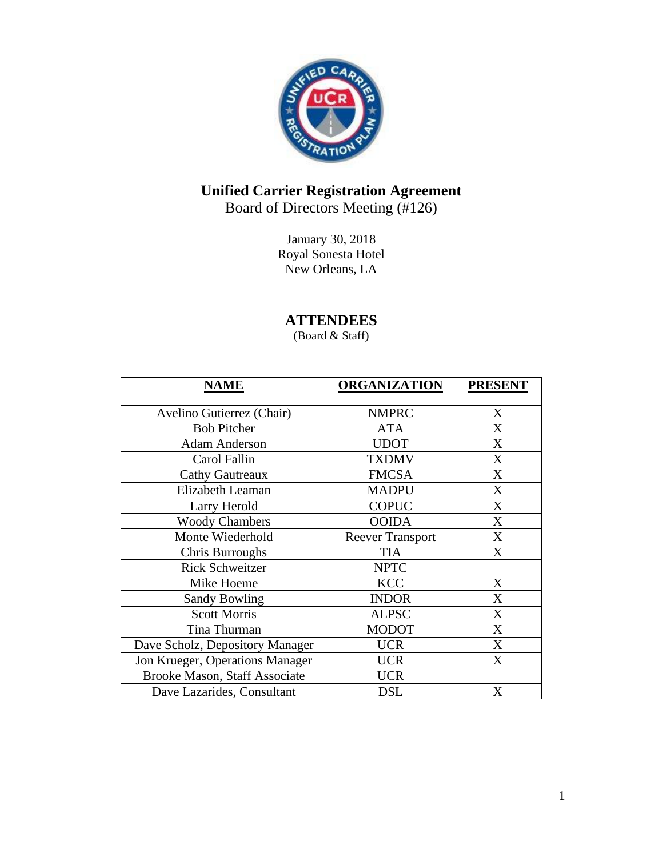

# **Unified Carrier Registration Agreement**

Board of Directors Meeting (#126)

January 30, 2018 Royal Sonesta Hotel New Orleans, LA

**ATTENDEES**

(Board & Staff)

| <b>NAME</b>                     | <b>ORGANIZATION</b>     | <b>PRESENT</b> |
|---------------------------------|-------------------------|----------------|
| Avelino Gutierrez (Chair)       | <b>NMPRC</b>            | X              |
| <b>Bob Pitcher</b>              | <b>ATA</b>              | X              |
| <b>Adam Anderson</b>            | <b>UDOT</b>             | X              |
| Carol Fallin                    | <b>TXDMV</b>            | X              |
| <b>Cathy Gautreaux</b>          | <b>FMCSA</b>            | X              |
| Elizabeth Leaman                | <b>MADPU</b>            | X              |
| Larry Herold                    | <b>COPUC</b>            | X              |
| <b>Woody Chambers</b>           | <b>OOIDA</b>            | X              |
| Monte Wiederhold                | <b>Reever Transport</b> | X              |
| Chris Burroughs                 | <b>TIA</b>              | X              |
| <b>Rick Schweitzer</b>          | <b>NPTC</b>             |                |
| Mike Hoeme                      | <b>KCC</b>              | X              |
| <b>Sandy Bowling</b>            | <b>INDOR</b>            | X              |
| <b>Scott Morris</b>             | <b>ALPSC</b>            | X              |
| Tina Thurman                    | <b>MODOT</b>            | X              |
| Dave Scholz, Depository Manager | <b>UCR</b>              | X              |
| Jon Krueger, Operations Manager | <b>UCR</b>              | X              |
| Brooke Mason, Staff Associate   | <b>UCR</b>              |                |
| Dave Lazarides, Consultant      | <b>DSL</b>              | X              |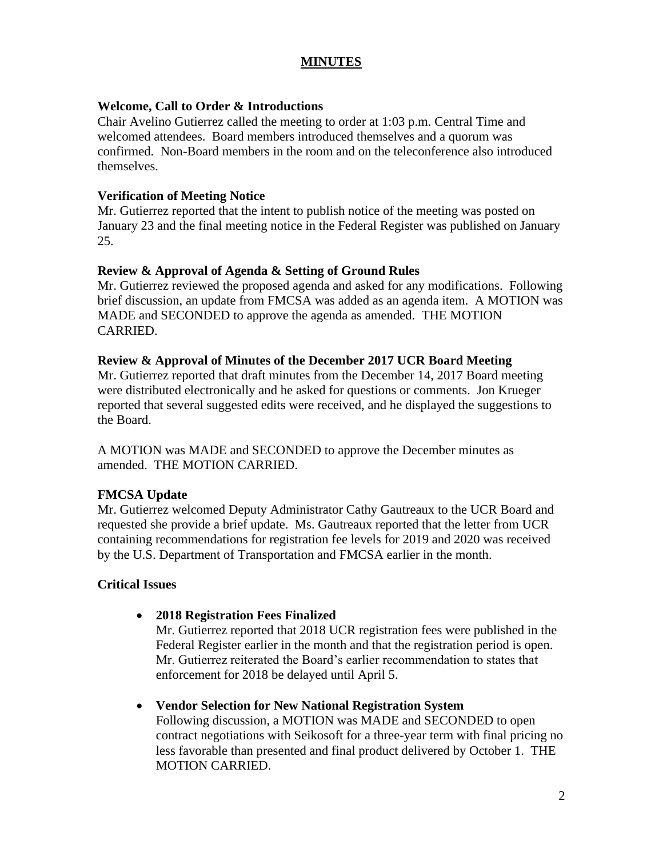# **MINUTES**

## **Welcome, Call to Order & Introductions**

Chair Avelino Gutierrez called the meeting to order at 1:03 p.m. Central Time and welcomed attendees. Board members introduced themselves and a quorum was confirmed. Non-Board members in the room and on the teleconference also introduced themselves.

#### **Verification of Meeting Notice**

Mr. Gutierrez reported that the intent to publish notice of the meeting was posted on January 23 and the final meeting notice in the Federal Register was published on January 25.

## **Review & Approval of Agenda & Setting of Ground Rules**

Mr. Gutierrez reviewed the proposed agenda and asked for any modifications. Following brief discussion, an update from FMCSA was added as an agenda item. A MOTION was MADE and SECONDED to approve the agenda as amended. THE MOTION CARRIED.

## **Review & Approval of Minutes of the December 2017 UCR Board Meeting**

Mr. Gutierrez reported that draft minutes from the December 14, 2017 Board meeting were distributed electronically and he asked for questions or comments. Jon Krueger reported that several suggested edits were received, and he displayed the suggestions to the Board.

A MOTION was MADE and SECONDED to approve the December minutes as amended. THE MOTION CARRIED.

# **FMCSA Update**

Mr. Gutierrez welcomed Deputy Administrator Cathy Gautreaux to the UCR Board and requested she provide a brief update. Ms. Gautreaux reported that the letter from UCR containing recommendations for registration fee levels for 2019 and 2020 was received by the U.S. Department of Transportation and FMCSA earlier in the month.

# **Critical Issues**

• **2018 Registration Fees Finalized** 

Mr. Gutierrez reported that 2018 UCR registration fees were published in the Federal Register earlier in the month and that the registration period is open. Mr. Gutierrez reiterated the Board's earlier recommendation to states that enforcement for 2018 be delayed until April 5.

#### • **Vendor Selection for New National Registration System**

Following discussion, a MOTION was MADE and SECONDED to open contract negotiations with Seikosoft for a three-year term with final pricing no less favorable than presented and final product delivered by October 1. THE MOTION CARRIED.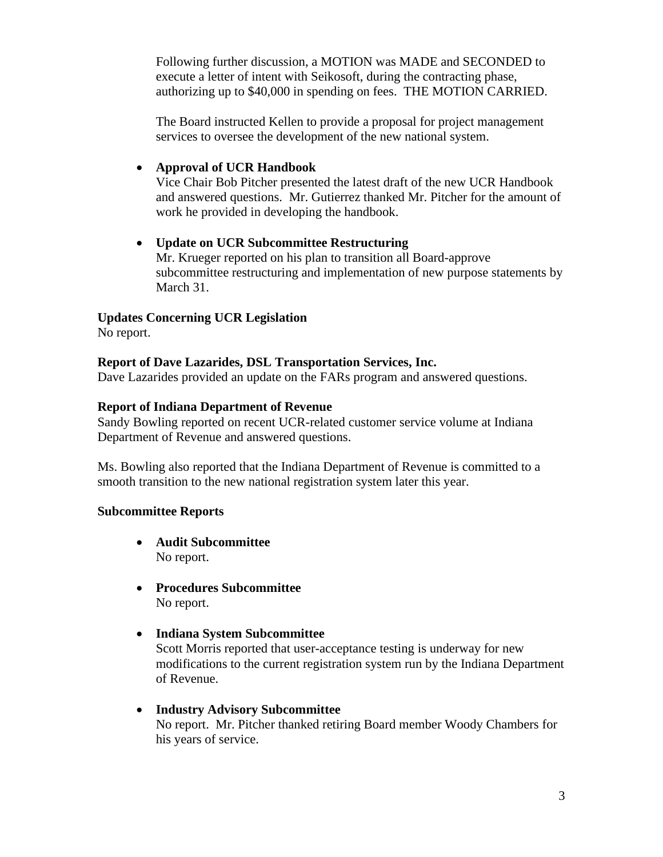Following further discussion, a MOTION was MADE and SECONDED to execute a letter of intent with Seikosoft, during the contracting phase, authorizing up to \$40,000 in spending on fees. THE MOTION CARRIED.

The Board instructed Kellen to provide a proposal for project management services to oversee the development of the new national system.

# • **Approval of UCR Handbook**

Vice Chair Bob Pitcher presented the latest draft of the new UCR Handbook and answered questions. Mr. Gutierrez thanked Mr. Pitcher for the amount of work he provided in developing the handbook.

# • **Update on UCR Subcommittee Restructuring**

Mr. Krueger reported on his plan to transition all Board-approve subcommittee restructuring and implementation of new purpose statements by March 31.

# **Updates Concerning UCR Legislation**

No report.

# **Report of Dave Lazarides, DSL Transportation Services, Inc.**

Dave Lazarides provided an update on the FARs program and answered questions.

# **Report of Indiana Department of Revenue**

Sandy Bowling reported on recent UCR-related customer service volume at Indiana Department of Revenue and answered questions.

Ms. Bowling also reported that the Indiana Department of Revenue is committed to a smooth transition to the new national registration system later this year.

# **Subcommittee Reports**

- **Audit Subcommittee** No report.
- **Procedures Subcommittee** No report.
- **Indiana System Subcommittee**

Scott Morris reported that user-acceptance testing is underway for new modifications to the current registration system run by the Indiana Department of Revenue.

• **Industry Advisory Subcommittee** No report. Mr. Pitcher thanked retiring Board member Woody Chambers for his years of service.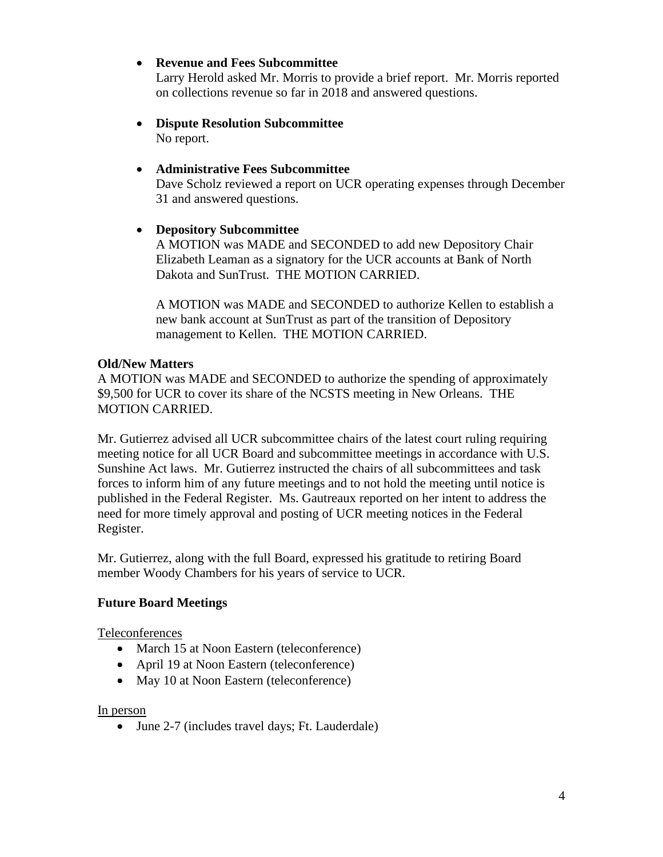# • **Revenue and Fees Subcommittee**

Larry Herold asked Mr. Morris to provide a brief report. Mr. Morris reported on collections revenue so far in 2018 and answered questions.

• **Dispute Resolution Subcommittee** No report.

# • **Administrative Fees Subcommittee**

Dave Scholz reviewed a report on UCR operating expenses through December 31 and answered questions.

# • **Depository Subcommittee**

A MOTION was MADE and SECONDED to add new Depository Chair Elizabeth Leaman as a signatory for the UCR accounts at Bank of North Dakota and SunTrust. THE MOTION CARRIED.

A MOTION was MADE and SECONDED to authorize Kellen to establish a new bank account at SunTrust as part of the transition of Depository management to Kellen. THE MOTION CARRIED.

## **Old/New Matters**

A MOTION was MADE and SECONDED to authorize the spending of approximately \$9,500 for UCR to cover its share of the NCSTS meeting in New Orleans. THE MOTION CARRIED.

Mr. Gutierrez advised all UCR subcommittee chairs of the latest court ruling requiring meeting notice for all UCR Board and subcommittee meetings in accordance with U.S. Sunshine Act laws. Mr. Gutierrez instructed the chairs of all subcommittees and task forces to inform him of any future meetings and to not hold the meeting until notice is published in the Federal Register. Ms. Gautreaux reported on her intent to address the need for more timely approval and posting of UCR meeting notices in the Federal Register.

Mr. Gutierrez, along with the full Board, expressed his gratitude to retiring Board member Woody Chambers for his years of service to UCR.

# **Future Board Meetings**

Teleconferences

- March 15 at Noon Eastern (teleconference)
- April 19 at Noon Eastern (teleconference)
- May 10 at Noon Eastern (teleconference)

#### In person

• June 2-7 (includes travel days; Ft. Lauderdale)